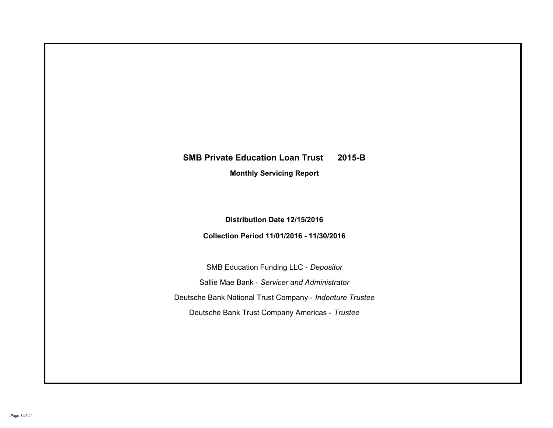# **SMB Private Education Loan Trust 2015-B Monthly Servicing Report**

## **Distribution Date 12/15/2016**

## **Collection Period 11/01/2016 - 11/30/2016**

SMB Education Funding LLC - *Depositor* Sallie Mae Bank - *Servicer and Administrator* Deutsche Bank National Trust Company - *Indenture Trustee* Deutsche Bank Trust Company Americas - *Trustee*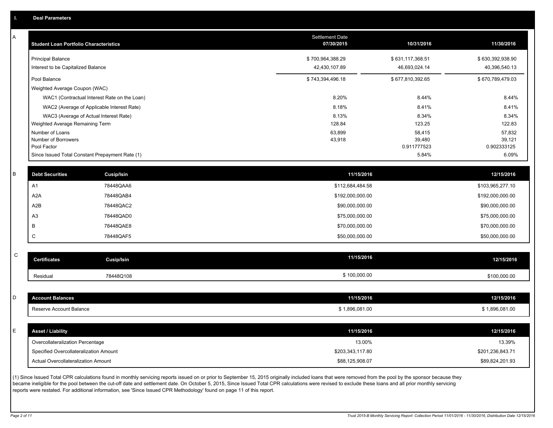| A           | <b>Student Loan Portfolio Characteristics</b> |                                                 | Settlement Date<br>07/30/2015 | 10/31/2016            | 11/30/2016            |
|-------------|-----------------------------------------------|-------------------------------------------------|-------------------------------|-----------------------|-----------------------|
|             | <b>Principal Balance</b>                      |                                                 | \$700,964,388.29              | \$631,117,368.51      | \$630,392,938.90      |
|             | Interest to be Capitalized Balance            |                                                 | 42,430,107.89                 | 46,693,024.14         | 40,396,540.13         |
|             | Pool Balance                                  |                                                 | \$743,394,496.18              | \$677,810,392.65      | \$670,789,479.03      |
|             | Weighted Average Coupon (WAC)                 |                                                 |                               |                       |                       |
|             |                                               | WAC1 (Contractual Interest Rate on the Loan)    | 8.20%                         | 8.44%                 | 8.44%                 |
|             |                                               | WAC2 (Average of Applicable Interest Rate)      | 8.18%                         | 8.41%                 | 8.41%                 |
|             |                                               | WAC3 (Average of Actual Interest Rate)          | 8.13%                         | 8.34%                 | 8.34%                 |
|             | Weighted Average Remaining Term               |                                                 | 128.84                        | 123.25                | 122.83                |
|             | Number of Loans                               |                                                 | 63,899                        | 58,415                | 57,832                |
|             | Number of Borrowers<br>Pool Factor            |                                                 | 43,918                        | 39,480<br>0.911777523 | 39,121<br>0.902333125 |
|             |                                               | Since Issued Total Constant Prepayment Rate (1) |                               | 5.84%                 | 6.09%                 |
|             |                                               |                                                 |                               |                       |                       |
| B           | <b>Debt Securities</b>                        | Cusip/Isin                                      | 11/15/2016                    |                       | 12/15/2016            |
|             | A1                                            | 78448QAA6                                       | \$112,684,484.58              |                       | \$103,965,277.10      |
|             | A <sub>2</sub> A                              | 78448QAB4                                       | \$192,000,000.00              |                       | \$192,000,000.00      |
|             | A <sub>2</sub> B                              | 78448QAC2                                       | \$90,000,000.00               |                       | \$90,000,000.00       |
|             | A <sub>3</sub>                                | 78448QAD0                                       | \$75,000,000.00               |                       | \$75,000,000.00       |
|             | B                                             | 78448QAE8                                       | \$70,000,000.00               |                       | \$70,000,000.00       |
|             | C                                             | 78448QAF5                                       | \$50,000,000.00               |                       | \$50,000,000.00       |
|             |                                               |                                                 |                               |                       |                       |
| $\mathsf C$ | <b>Certificates</b>                           | <b>Cusip/Isin</b>                               | 11/15/2016                    |                       | 12/15/2016            |
|             | Residual                                      | 78448Q108                                       | \$100,000.00                  |                       | \$100,000.00          |
|             |                                               |                                                 |                               |                       |                       |
| D           | <b>Account Balances</b>                       |                                                 | 11/15/2016                    |                       | 12/15/2016            |
|             | Reserve Account Balance                       |                                                 | \$1,896,081.00                |                       | \$1,896,081.00        |
|             |                                               |                                                 |                               |                       |                       |
| E           | <b>Asset / Liability</b>                      |                                                 | 11/15/2016                    |                       | 12/15/2016            |
|             | Overcollateralization Percentage              |                                                 | 13.00%                        |                       | 13.39%                |
|             | Specified Overcollateralization Amount        |                                                 | \$203,343,117.80              |                       | \$201,236,843.71      |
|             | Actual Overcollateralization Amount           |                                                 | \$88,125,908.07               |                       | \$89,824,201.93       |
|             |                                               |                                                 |                               |                       |                       |

(1) Since Issued Total CPR calculations found in monthly servicing reports issued on or prior to September 15, 2015 originally included loans that were removed from the pool by the sponsor because they became ineligible for the pool between the cut-off date and settlement date. On October 5, 2015, Since Issued Total CPR calculations were revised to exclude these loans and all prior monthly servicing reports were restated. For additional information, see 'Since Issued CPR Methodology' found on page 11 of this report.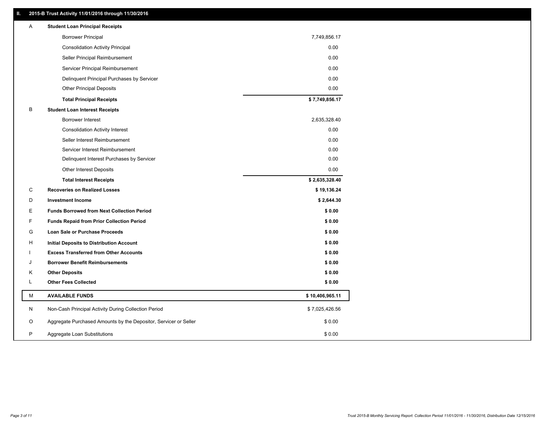### **II. 2015-B Trust Activity 11/01/2016 through 11/30/2016**

| Α | <b>Student Loan Principal Receipts</b>                           |                 |
|---|------------------------------------------------------------------|-----------------|
|   | <b>Borrower Principal</b>                                        | 7,749,856.17    |
|   | <b>Consolidation Activity Principal</b>                          | 0.00            |
|   | Seller Principal Reimbursement                                   | 0.00            |
|   | Servicer Principal Reimbursement                                 | 0.00            |
|   | Delinquent Principal Purchases by Servicer                       | 0.00            |
|   | <b>Other Principal Deposits</b>                                  | 0.00            |
|   | <b>Total Principal Receipts</b>                                  | \$7,749,856.17  |
| B | <b>Student Loan Interest Receipts</b>                            |                 |
|   | <b>Borrower Interest</b>                                         | 2,635,328.40    |
|   | <b>Consolidation Activity Interest</b>                           | 0.00            |
|   | Seller Interest Reimbursement                                    | 0.00            |
|   | Servicer Interest Reimbursement                                  | 0.00            |
|   | Delinquent Interest Purchases by Servicer                        | 0.00            |
|   | Other Interest Deposits                                          | 0.00            |
|   | <b>Total Interest Receipts</b>                                   | \$2,635,328.40  |
| C | <b>Recoveries on Realized Losses</b>                             | \$19,136.24     |
| D | <b>Investment Income</b>                                         | \$2,644.30      |
| Ε | <b>Funds Borrowed from Next Collection Period</b>                | \$0.00          |
| F | <b>Funds Repaid from Prior Collection Period</b>                 | \$0.00          |
| G | <b>Loan Sale or Purchase Proceeds</b>                            | \$0.00          |
| н | Initial Deposits to Distribution Account                         | \$0.00          |
|   | <b>Excess Transferred from Other Accounts</b>                    | \$0.00          |
| J | <b>Borrower Benefit Reimbursements</b>                           | \$0.00          |
| κ | <b>Other Deposits</b>                                            | \$0.00          |
| L | <b>Other Fees Collected</b>                                      | \$0.00          |
| М | <b>AVAILABLE FUNDS</b>                                           | \$10,406,965.11 |
| N | Non-Cash Principal Activity During Collection Period             | \$7,025,426.56  |
| O | Aggregate Purchased Amounts by the Depositor, Servicer or Seller | \$0.00          |
| P | Aggregate Loan Substitutions                                     | \$0.00          |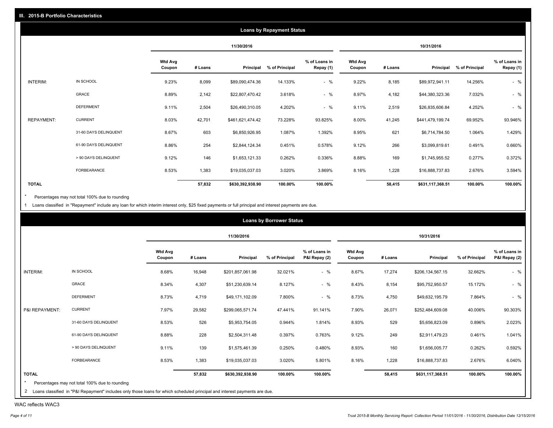|                   |                       |                          |         |                  | <b>Loans by Repayment Status</b> |                            |                          |         |                  |                |                            |
|-------------------|-----------------------|--------------------------|---------|------------------|----------------------------------|----------------------------|--------------------------|---------|------------------|----------------|----------------------------|
|                   |                       |                          |         | 11/30/2016       |                                  |                            |                          |         | 10/31/2016       |                |                            |
|                   |                       | <b>Wtd Avg</b><br>Coupon | # Loans | Principal        | % of Principal                   | % of Loans in<br>Repay (1) | <b>Wtd Avg</b><br>Coupon | # Loans | Principal        | % of Principal | % of Loans in<br>Repay (1) |
| INTERIM:          | IN SCHOOL             | 9.23%                    | 8,099   | \$89,090,474.36  | 14.133%                          | $-$ %                      | 9.22%                    | 8,185   | \$89,972,941.11  | 14.256%        | $-$ %                      |
|                   | GRACE                 | 8.89%                    | 2,142   | \$22,807,470.42  | 3.618%                           | $-$ %                      | 8.97%                    | 4,182   | \$44,380,323.36  | 7.032%         | $-$ %                      |
|                   | <b>DEFERMENT</b>      | 9.11%                    | 2,504   | \$26,490,310.05  | 4.202%                           | $-$ %                      | 9.11%                    | 2,519   | \$26,835,606.84  | 4.252%         | $-$ %                      |
| <b>REPAYMENT:</b> | <b>CURRENT</b>        | 8.03%                    | 42,701  | \$461,621,474.42 | 73.228%                          | 93.825%                    | 8.00%                    | 41,245  | \$441,479,199.74 | 69.952%        | 93.946%                    |
|                   | 31-60 DAYS DELINQUENT | 8.67%                    | 603     | \$6,850,926.95   | 1.087%                           | 1.392%                     | 8.95%                    | 621     | \$6,714,784.50   | 1.064%         | 1.429%                     |
|                   | 61-90 DAYS DELINQUENT | 8.86%                    | 254     | \$2,844,124.34   | 0.451%                           | 0.578%                     | 9.12%                    | 266     | \$3,099,819.61   | 0.491%         | 0.660%                     |
|                   | > 90 DAYS DELINQUENT  | 9.12%                    | 146     | \$1,653,121.33   | 0.262%                           | 0.336%                     | 8.88%                    | 169     | \$1,745,955.52   | 0.277%         | 0.372%                     |
|                   | <b>FORBEARANCE</b>    | 8.53%                    | 1,383   | \$19,035,037.03  | 3.020%                           | 3.869%                     | 8.16%                    | 1,228   | \$16,888,737.83  | 2.676%         | 3.594%                     |
| <b>TOTAL</b>      |                       |                          | 57,832  | \$630,392,938.90 | 100.00%                          | 100.00%                    |                          | 58,415  | \$631,117,368.51 | 100.00%        | 100.00%                    |

Percentages may not total 100% due to rounding  $^\star$ 

1 Loans classified in "Repayment" include any loan for which interim interest only, \$25 fixed payments or full principal and interest payments are due.

|                |                       |                          |         | 11/30/2016       |                |                                |                          |         | 10/31/2016       |                |                                |
|----------------|-----------------------|--------------------------|---------|------------------|----------------|--------------------------------|--------------------------|---------|------------------|----------------|--------------------------------|
|                |                       | <b>Wtd Avg</b><br>Coupon | # Loans | Principal        | % of Principal | % of Loans in<br>P&I Repay (2) | <b>Wtd Avg</b><br>Coupon | # Loans | Principal        | % of Principal | % of Loans in<br>P&I Repay (2) |
| INTERIM:       | IN SCHOOL             | 8.68%                    | 16,948  | \$201,857,061.98 | 32.021%        | $-$ %                          | 8.67%                    | 17,274  | \$206,134,567.15 | 32.662%        | $-$ %                          |
|                | GRACE                 | 8.34%                    | 4,307   | \$51,230,639.14  | 8.127%         | $-$ %                          | 8.43%                    | 8,154   | \$95,752,950.57  | 15.172%        | $-$ %                          |
|                | <b>DEFERMENT</b>      | 8.73%                    | 4,719   | \$49,171,102.09  | 7.800%         | $-$ %                          | 8.73%                    | 4,750   | \$49,632,195.79  | 7.864%         | $-$ %                          |
| P&I REPAYMENT: | <b>CURRENT</b>        | 7.97%                    | 29,582  | \$299,065,571.74 | 47.441%        | 91.141%                        | 7.90%                    | 26,071  | \$252,484,609.08 | 40.006%        | 90.303%                        |
|                | 31-60 DAYS DELINQUENT | 8.53%                    | 526     | \$5,953,754.05   | 0.944%         | 1.814%                         | 8.93%                    | 529     | \$5,656,823.09   | 0.896%         | 2.023%                         |
|                | 61-90 DAYS DELINQUENT | 8.88%                    | 228     | \$2,504,311.48   | 0.397%         | 0.763%                         | 9.12%                    | 249     | \$2,911,479.23   | 0.461%         | 1.041%                         |
|                | > 90 DAYS DELINQUENT  | 9.11%                    | 139     | \$1,575,461.39   | 0.250%         | 0.480%                         | 8.93%                    | 160     | \$1,656,005.77   | 0.262%         | 0.592%                         |
|                | FORBEARANCE           | 8.53%                    | 1,383   | \$19,035,037.03  | 3.020%         | 5.801%                         | 8.16%                    | 1,228   | \$16,888,737.83  | 2.676%         | 6.040%                         |
| <b>TOTAL</b>   |                       |                          | 57,832  | \$630,392,938.90 | 100.00%        | 100.00%                        |                          | 58,415  | \$631,117,368.51 | 100.00%        | 100.00%                        |

WAC reflects WAC3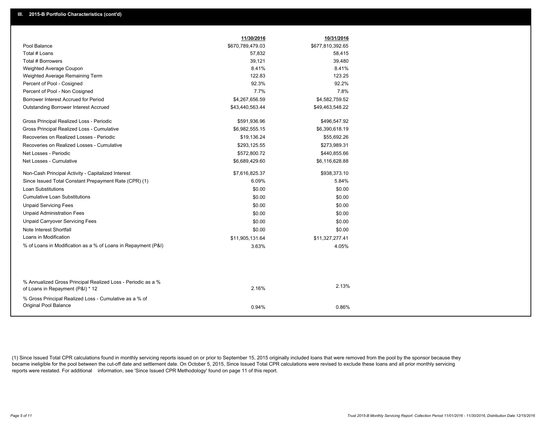|                                                                                                  | 11/30/2016       | 10/31/2016       |
|--------------------------------------------------------------------------------------------------|------------------|------------------|
| Pool Balance                                                                                     | \$670,789,479.03 | \$677,810,392.65 |
| Total # Loans                                                                                    | 57,832           | 58,415           |
| Total # Borrowers                                                                                | 39,121           | 39,480           |
| Weighted Average Coupon                                                                          | 8.41%            | 8.41%            |
| Weighted Average Remaining Term                                                                  | 122.83           | 123.25           |
| Percent of Pool - Cosigned                                                                       | 92.3%            | 92.2%            |
| Percent of Pool - Non Cosigned                                                                   | 7.7%             | 7.8%             |
| Borrower Interest Accrued for Period                                                             | \$4,267,656.59   | \$4,582,759.52   |
| <b>Outstanding Borrower Interest Accrued</b>                                                     | \$43,440,563.44  | \$49,463,548.22  |
| Gross Principal Realized Loss - Periodic                                                         | \$591,936.96     | \$496,547.92     |
| Gross Principal Realized Loss - Cumulative                                                       | \$6,982,555.15   | \$6,390,618.19   |
| Recoveries on Realized Losses - Periodic                                                         | \$19,136.24      | \$55,692.26      |
| Recoveries on Realized Losses - Cumulative                                                       | \$293,125.55     | \$273,989.31     |
| Net Losses - Periodic                                                                            | \$572,800.72     | \$440,855.66     |
| Net Losses - Cumulative                                                                          | \$6,689,429.60   | \$6,116,628.88   |
| Non-Cash Principal Activity - Capitalized Interest                                               | \$7,616,825.37   | \$938,373.10     |
| Since Issued Total Constant Prepayment Rate (CPR) (1)                                            | 6.09%            | 5.84%            |
| <b>Loan Substitutions</b>                                                                        | \$0.00           | \$0.00           |
| <b>Cumulative Loan Substitutions</b>                                                             | \$0.00           | \$0.00           |
| <b>Unpaid Servicing Fees</b>                                                                     | \$0.00           | \$0.00           |
| <b>Unpaid Administration Fees</b>                                                                | \$0.00           | \$0.00           |
| <b>Unpaid Carryover Servicing Fees</b>                                                           | \$0.00           | \$0.00           |
| Note Interest Shortfall                                                                          | \$0.00           | \$0.00           |
| Loans in Modification                                                                            | \$11,905,131.64  | \$11,327,277.41  |
| % of Loans in Modification as a % of Loans in Repayment (P&I)                                    | 3.63%            | 4.05%            |
|                                                                                                  |                  |                  |
|                                                                                                  |                  |                  |
| % Annualized Gross Principal Realized Loss - Periodic as a %<br>of Loans in Repayment (P&I) * 12 | 2.16%            | 2.13%            |
| % Gross Principal Realized Loss - Cumulative as a % of                                           |                  |                  |
| Original Pool Balance                                                                            | 0.94%            | 0.86%            |

(1) Since Issued Total CPR calculations found in monthly servicing reports issued on or prior to September 15, 2015 originally included loans that were removed from the pool by the sponsor because they became ineligible for the pool between the cut-off date and settlement date. On October 5, 2015, Since Issued Total CPR calculations were revised to exclude these loans and all prior monthly servicing reports were restated. For additional information, see 'Since Issued CPR Methodology' found on page 11 of this report.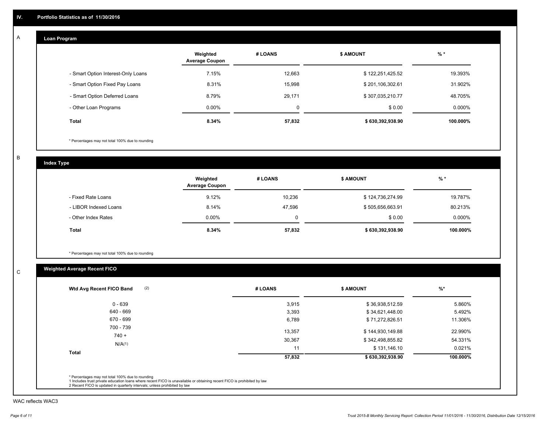#### **Loan Program**  A

|                                    | Weighted<br><b>Average Coupon</b> | # LOANS | <b>\$ AMOUNT</b> | $%$ *     |
|------------------------------------|-----------------------------------|---------|------------------|-----------|
| - Smart Option Interest-Only Loans | 7.15%                             | 12,663  | \$122,251,425.52 | 19.393%   |
| - Smart Option Fixed Pay Loans     | 8.31%                             | 15.998  | \$201,106,302.61 | 31.902%   |
| - Smart Option Deferred Loans      | 8.79%                             | 29.171  | \$307,035,210.77 | 48.705%   |
| - Other Loan Programs              | $0.00\%$                          | 0       | \$0.00           | $0.000\%$ |
| <b>Total</b>                       | 8.34%                             | 57,832  | \$630,392,938.90 | 100.000%  |

\* Percentages may not total 100% due to rounding

B

C

**Index Type**

|                       | Weighted<br><b>Average Coupon</b> | # LOANS  | <b>\$ AMOUNT</b> | $%$ *     |
|-----------------------|-----------------------------------|----------|------------------|-----------|
| - Fixed Rate Loans    | 9.12%                             | 10,236   | \$124,736,274.99 | 19.787%   |
| - LIBOR Indexed Loans | 8.14%                             | 47,596   | \$505,656,663.91 | 80.213%   |
| - Other Index Rates   | $0.00\%$                          | $\Omega$ | \$0.00           | $0.000\%$ |
| Total                 | 8.34%                             | 57,832   | \$630,392,938.90 | 100.000%  |

\* Percentages may not total 100% due to rounding

## **Weighted Average Recent FICO**

| 3,915  | \$36,938,512.59  | 5.860%   |
|--------|------------------|----------|
|        |                  |          |
| 3,393  | \$34,621,448.00  | 5.492%   |
| 6,789  | \$71,272,826.51  | 11.306%  |
| 13,357 | \$144,930,149.88 | 22.990%  |
| 30,367 | \$342,498,855.82 | 54.331%  |
| 11     | \$131,146.10     | 0.021%   |
| 57,832 | \$630,392,938.90 | 100.000% |
|        |                  |          |

WAC reflects WAC3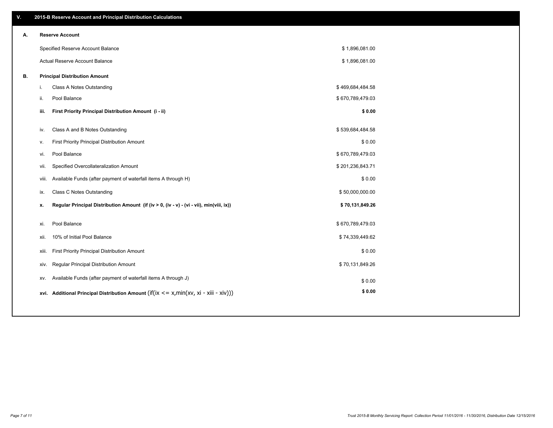| ۷. |     | 2015-B Reserve Account and Principal Distribution Calculations                             |                  |  |
|----|-----|--------------------------------------------------------------------------------------------|------------------|--|
| А. |     | <b>Reserve Account</b>                                                                     |                  |  |
|    |     | Specified Reserve Account Balance                                                          | \$1,896,081.00   |  |
|    |     | <b>Actual Reserve Account Balance</b>                                                      | \$1,896,081.00   |  |
| В. |     | <b>Principal Distribution Amount</b>                                                       |                  |  |
|    | i.  | Class A Notes Outstanding                                                                  | \$469,684,484.58 |  |
|    | ii. | Pool Balance                                                                               | \$670,789,479.03 |  |
|    |     | First Priority Principal Distribution Amount (i - ii)<br>iii.                              | \$0.00           |  |
|    |     |                                                                                            |                  |  |
|    | iv. | Class A and B Notes Outstanding                                                            | \$539,684,484.58 |  |
|    | v.  | First Priority Principal Distribution Amount                                               | \$0.00           |  |
|    | vi. | Pool Balance                                                                               | \$670,789,479.03 |  |
|    |     | Specified Overcollateralization Amount<br>vii.                                             | \$201,236,843.71 |  |
|    |     | Available Funds (after payment of waterfall items A through H)<br>viii.                    | \$0.00           |  |
|    | ix. | Class C Notes Outstanding                                                                  | \$50,000,000.00  |  |
|    | x.  | Regular Principal Distribution Amount (if (iv > 0, (iv - v) - (vi - vii), min(viii, ix))   | \$70,131,849.26  |  |
|    |     | Pool Balance                                                                               | \$670,789,479.03 |  |
|    | xi. |                                                                                            |                  |  |
|    |     | 10% of Initial Pool Balance<br>xii.                                                        | \$74,339,449.62  |  |
|    |     | First Priority Principal Distribution Amount<br>xiii.                                      | \$0.00           |  |
|    |     | Regular Principal Distribution Amount<br>xiv.                                              | \$70,131,849.26  |  |
|    |     | Available Funds (after payment of waterfall items A through J)<br>XV.                      | \$0.00           |  |
|    |     | xvi. Additional Principal Distribution Amount (if(ix $\lt$ = x, min(xv, xi - xiii - xiv))) | \$0.00           |  |
|    |     |                                                                                            |                  |  |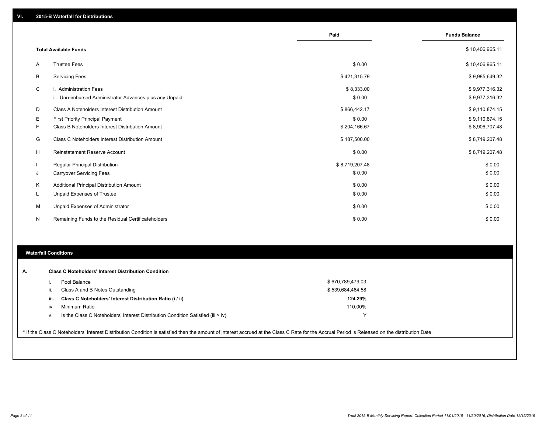|          |                                                                                   | Paid                 | <b>Funds Balance</b>             |
|----------|-----------------------------------------------------------------------------------|----------------------|----------------------------------|
|          | <b>Total Available Funds</b>                                                      |                      | \$10,406,965.11                  |
| A        | <b>Trustee Fees</b>                                                               | \$0.00               | \$10,406,965.11                  |
| В        | <b>Servicing Fees</b>                                                             | \$421,315.79         | \$9,985,649.32                   |
| C        | i. Administration Fees<br>ii. Unreimbursed Administrator Advances plus any Unpaid | \$8,333.00<br>\$0.00 | \$9,977,316.32<br>\$9,977,316.32 |
| D        | Class A Noteholders Interest Distribution Amount                                  | \$866,442.17         | \$9,110,874.15                   |
| Е        | <b>First Priority Principal Payment</b>                                           | \$0.00               | \$9,110,874.15                   |
| F        | Class B Noteholders Interest Distribution Amount                                  | \$204,166.67         | \$8,906,707.48                   |
| G        | Class C Noteholders Interest Distribution Amount                                  | \$187,500.00         | \$8,719,207.48                   |
| н        | <b>Reinstatement Reserve Account</b>                                              | \$0.00               | \$8,719,207.48                   |
|          | <b>Regular Principal Distribution</b>                                             | \$8,719,207.48       | \$0.00                           |
| J        | <b>Carryover Servicing Fees</b>                                                   | \$0.00               | \$0.00                           |
| Κ        | Additional Principal Distribution Amount                                          | \$0.00               | \$0.00                           |
| <b>L</b> | Unpaid Expenses of Trustee                                                        | \$0.00               | \$0.00                           |
| М        | Unpaid Expenses of Administrator                                                  | \$0.00               | \$0.00                           |
| N        | Remaining Funds to the Residual Certificateholders                                | \$0.00               | \$0.00                           |

#### **Waterfall Conditions**

| А.   | <b>Class C Noteholders' Interest Distribution Condition</b>                                                                                                                                     |                  |  |
|------|-------------------------------------------------------------------------------------------------------------------------------------------------------------------------------------------------|------------------|--|
|      | Pool Balance                                                                                                                                                                                    | \$670,789,479.03 |  |
| ii.  | Class A and B Notes Outstanding                                                                                                                                                                 | \$539,684,484.58 |  |
| iii. | Class C Noteholders' Interest Distribution Ratio (i / ii)                                                                                                                                       | 124.29%          |  |
| iv.  | Minimum Ratio                                                                                                                                                                                   | 110.00%          |  |
| V.   | Is the Class C Noteholders' Interest Distribution Condition Satisfied (iii $>$ iv)                                                                                                              |                  |  |
|      |                                                                                                                                                                                                 |                  |  |
|      | * If the Class C Noteholders' Interest Distribution Condition is satisfied then the amount of interest accrued at the Class C Rate for the Accrual Period is Released on the distribution Date. |                  |  |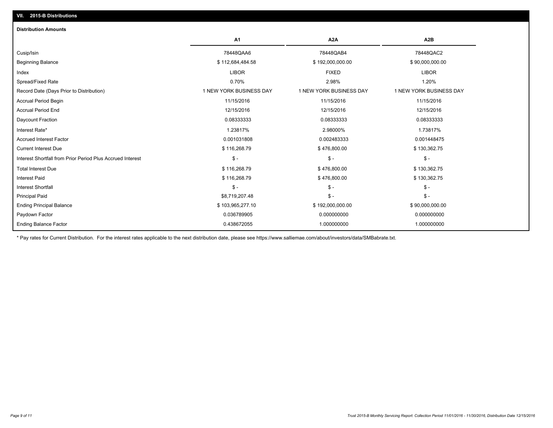| <b>Distribution Amounts</b>                                |                         |                         |                         |
|------------------------------------------------------------|-------------------------|-------------------------|-------------------------|
|                                                            | A1                      | A <sub>2</sub> A        | A <sub>2</sub> B        |
| Cusip/Isin                                                 | 78448QAA6               | 78448QAB4               | 78448QAC2               |
| <b>Beginning Balance</b>                                   | \$112,684,484.58        | \$192,000,000.00        | \$90,000,000.00         |
| Index                                                      | <b>LIBOR</b>            | <b>FIXED</b>            | <b>LIBOR</b>            |
| Spread/Fixed Rate                                          | 0.70%                   | 2.98%                   | 1.20%                   |
| Record Date (Days Prior to Distribution)                   | 1 NEW YORK BUSINESS DAY | 1 NEW YORK BUSINESS DAY | 1 NEW YORK BUSINESS DAY |
| <b>Accrual Period Begin</b>                                | 11/15/2016              | 11/15/2016              | 11/15/2016              |
| <b>Accrual Period End</b>                                  | 12/15/2016              | 12/15/2016              | 12/15/2016              |
| Daycount Fraction                                          | 0.08333333              | 0.08333333              | 0.08333333              |
| Interest Rate*                                             | 1.23817%                | 2.98000%                | 1.73817%                |
| <b>Accrued Interest Factor</b>                             | 0.001031808             | 0.002483333             | 0.001448475             |
| <b>Current Interest Due</b>                                | \$116,268.79            | \$476,800.00            | \$130,362.75            |
| Interest Shortfall from Prior Period Plus Accrued Interest | $\frac{1}{2}$           | $\mathsf{\$}$ -         | $\mathsf{\$}$ -         |
| <b>Total Interest Due</b>                                  | \$116,268.79            | \$476,800.00            | \$130,362.75            |
| <b>Interest Paid</b>                                       | \$116,268.79            | \$476,800.00            | \$130,362.75            |
| <b>Interest Shortfall</b>                                  | $\mathsf{\$}$ -         | $S -$                   | $\mathsf{\$}$ -         |
| <b>Principal Paid</b>                                      | \$8,719,207.48          | $\frac{2}{3}$ -         | $\mathsf{\$}$ -         |
| <b>Ending Principal Balance</b>                            | \$103,965,277.10        | \$192,000,000.00        | \$90,000,000.00         |
| Paydown Factor                                             | 0.036789905             | 0.000000000             | 0.000000000             |
| <b>Ending Balance Factor</b>                               | 0.438672055             | 1.000000000             | 1.000000000             |

\* Pay rates for Current Distribution. For the interest rates applicable to the next distribution date, please see https://www.salliemae.com/about/investors/data/SMBabrate.txt.

**VII. 2015-B Distributions**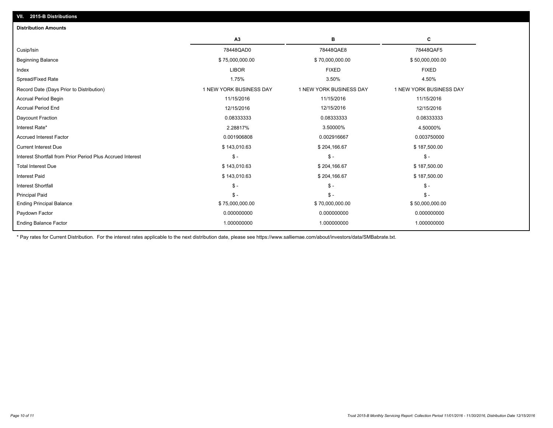| <b>Distribution Amounts</b>                                |                         |                         |                         |
|------------------------------------------------------------|-------------------------|-------------------------|-------------------------|
|                                                            | A <sub>3</sub>          | в                       | c                       |
| Cusip/Isin                                                 | 78448QAD0               | 78448QAE8               | 78448QAF5               |
| <b>Beginning Balance</b>                                   | \$75,000,000.00         | \$70,000,000.00         | \$50,000,000.00         |
| Index                                                      | <b>LIBOR</b>            | <b>FIXED</b>            | <b>FIXED</b>            |
| Spread/Fixed Rate                                          | 1.75%                   | 3.50%                   | 4.50%                   |
| Record Date (Days Prior to Distribution)                   | 1 NEW YORK BUSINESS DAY | 1 NEW YORK BUSINESS DAY | 1 NEW YORK BUSINESS DAY |
| <b>Accrual Period Begin</b>                                | 11/15/2016              | 11/15/2016              | 11/15/2016              |
| <b>Accrual Period End</b>                                  | 12/15/2016              | 12/15/2016              | 12/15/2016              |
| Daycount Fraction                                          | 0.08333333              | 0.08333333              | 0.08333333              |
| Interest Rate*                                             | 2.28817%                | 3.50000%                | 4.50000%                |
| <b>Accrued Interest Factor</b>                             | 0.001906808             | 0.002916667             | 0.003750000             |
| <b>Current Interest Due</b>                                | \$143,010.63            | \$204,166.67            | \$187,500.00            |
| Interest Shortfall from Prior Period Plus Accrued Interest | $$ -$                   | $$ -$                   | $$ -$                   |
| <b>Total Interest Due</b>                                  | \$143,010.63            | \$204,166.67            | \$187,500.00            |
| <b>Interest Paid</b>                                       | \$143,010.63            | \$204,166.67            | \$187,500.00            |
| <b>Interest Shortfall</b>                                  | $S -$                   | $\mathsf{\$}$ -         | $\mathcal{S}$ -         |
| <b>Principal Paid</b>                                      | $S -$                   | $S -$                   | $$ -$                   |
| <b>Ending Principal Balance</b>                            | \$75,000,000.00         | \$70,000,000.00         | \$50,000,000.00         |
| Paydown Factor                                             | 0.000000000             | 0.000000000             | 0.000000000             |
| <b>Ending Balance Factor</b>                               | 1.000000000             | 1.000000000             | 1.000000000             |

\* Pay rates for Current Distribution. For the interest rates applicable to the next distribution date, please see https://www.salliemae.com/about/investors/data/SMBabrate.txt.

**VII. 2015-B Distributions**